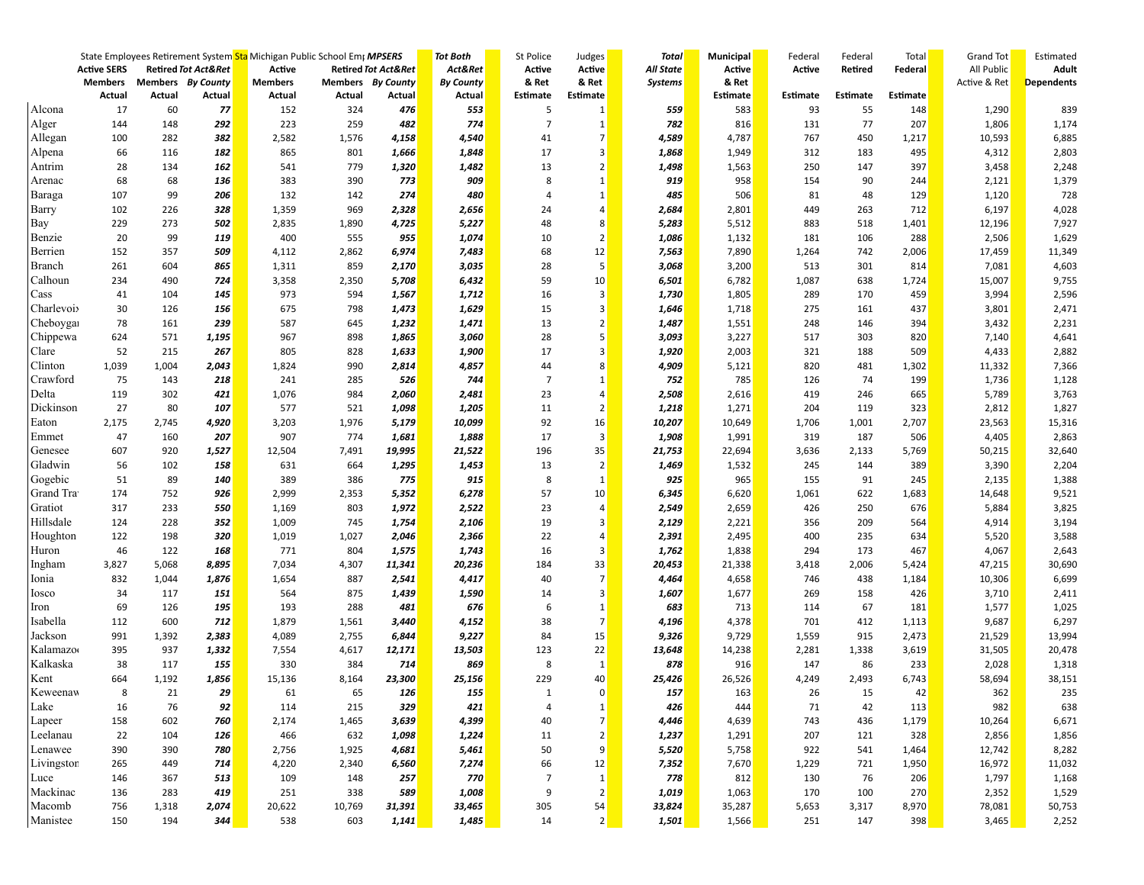|                     |                    |            |                                | State Employees Retirement System Sta Michigan Public School Emp MPSERS |        |                                | <b>Tot Both</b>  | St Police      | Judges         | <b>Total</b>   | Municipal     | Federal    | Federal    | Total    | Grand Tot    | Estimated         |
|---------------------|--------------------|------------|--------------------------------|-------------------------------------------------------------------------|--------|--------------------------------|------------------|----------------|----------------|----------------|---------------|------------|------------|----------|--------------|-------------------|
|                     | <b>Active SERS</b> |            | <b>Retired Tot Act&amp;Ret</b> | Active                                                                  |        | <b>Retired Tot Act&amp;Ret</b> | Act&Ret          | Active         | Active         | All State      | <b>Active</b> | Active     | Retired    | Federal  | All Public   | <b>Adult</b>      |
|                     | <b>Members</b>     |            | Members By County              | <b>Members</b>                                                          |        | Members By County              | <b>By County</b> | & Ret          | & Ret          | <b>Systems</b> | & Ret         |            |            |          | Active & Ret | <b>Dependents</b> |
|                     | Actual             | Actual     | Actual                         | Actual                                                                  | Actual | Actual                         | Actual           | Estimate       | Estimate       |                | Estimate      | Estimate   | Estimate   | Estimate |              |                   |
| Alcona              | 17                 | 60         | 77                             | 152                                                                     | 324    | 476                            | 553              | 5              | 1              | 559            | 583           | 93         | 55         | 148      | 1,290        | 839               |
| Alger               | 144                | 148        | 292                            | 223                                                                     | 259    | 482                            | 774              | $\overline{7}$ | 1              | 782            | 816           | 131        | 77         | 207      | 1,806        | 1,174             |
| Allegan             | 100                | 282        | 382                            | 2,582                                                                   | 1,576  | 4,158                          | 4,540            | 41             | 7              | 4,589          | 4,787         | 767        | 450        | 1,217    | 10,593       | 6,885             |
| Alpena              | 66                 | 116        | 182                            | 865                                                                     | 801    | <b>1,666</b>                   | 1,848            | 17             | 3              | 1,868          | 1,949         | 312        | 183        | 495      | 4,312        | 2,803             |
| Antrim              | 28                 | 134        | 162                            | 541                                                                     | 779    | 1,320                          | 1,482            | 13             | 2              | 1,498          | 1,563         | 250        | 147        | 397      | 3,458        | 2,248             |
| Arenac              | 68                 | 68         | 136                            | 383                                                                     | 390    | 773                            | 909              | 8              | 1              | 919            | 958           | 154        | 90         | 244      | 2,121        | 1,379             |
| Baraga              | 107                | 99         | 206                            | 132                                                                     | 142    | 274                            | 480              | $\overline{4}$ | $\mathbf{1}$   | 485            | 506           | 81         | 48         | 129      | 1,120        | 728               |
| Barry               | 102                | 226        | 328                            | 1,359                                                                   | 969    | 2,328                          | 2,656            | 24             | $\overline{4}$ | 2,684          | 2,801         | 449        | 263        | 712      | 6,197        | 4,028             |
| Bay                 | 229                | 273        | 502                            | 2,835                                                                   | 1,890  | 4,725                          | 5,227            | 48             | 8              | 5,283          | 5,512         | 883        | 518        | 1,401    | 12,196       | 7,927             |
| Benzie              | 20                 | 99         | 119                            | 400                                                                     | 555    | 955                            | 1,074            | 10             | $\overline{2}$ | 1,086          | 1,132         | 181        | 106        | 288      | 2,506        | 1,629             |
| Berrien             | 152                | 357        | 509                            | 4,112                                                                   | 2,862  | 6,974                          | 7,483            | 68             | 12             | 7,563          | 7,890         | 1,264      | 742        | 2,006    | 17,459       | 11,349            |
| Branch              | 261                | 604        | 865                            | 1,311                                                                   | 859    | 2,170                          | 3,035            | 28             | 5 <sup>1</sup> | 3,068          | 3,200         | 513        | 301        | 814      | 7,081        | 4,603             |
| Calhoun             | 234                | 490        | 724                            | 3,358                                                                   | 2,350  | 5,708                          | 6,432            | 59             | 10             | 6,501          | 6,782         | 1,087      | 638        | 1,724    | 15,007       | 9,755             |
| Cass                | 41                 | 104        | 145                            | 973                                                                     | 594    | 1,567                          | 1,712            | 16             | 3              | 1,730          | 1,805         | 289        | 170        | 459      | 3,994        | 2,596             |
| Charlevoi           | 30                 | 126        | 156                            | 675                                                                     | 798    | 1,473                          | 1,629            | 15             | 3              | 1,646          | 1,718         | 275        | 161        | 437      | 3,801        | 2,471             |
| Cheboyga            | 78                 | 161        | 239                            | 587                                                                     | 645    | 1,232                          | 1,471            | 13             | $\overline{2}$ | 1,487          | 1,551         | 248        | 146        | 394      | 3,432        | 2,231             |
| Chippewa            | 624                | 571        | 1,195                          | 967                                                                     | 898    | 1,865                          | 3,060            | 28             | 5              | 3,093          | 3,227         | 517        | 303        | 820      | 7,140        | 4,641             |
| Clare               | 52                 | 215        | 267                            | 805                                                                     | 828    | 1,633                          | 1,900            | 17             | 3              | 1,920          | 2,003         | 321        | 188        | 509      | 4,433        | 2,882             |
| Clinton             | 1,039              | 1,004      | 2,043                          | 1,824                                                                   | 990    | 2,814                          | 4,857            | 44             | 8              | 4,909          | 5,121         | 820        | 481        | 1,302    | 11,332       | 7,366             |
| Crawford            | 75                 | 143        | 218                            | 241                                                                     | 285    | 526                            | 744              | $\overline{7}$ | 1              | 752            | 785           | 126        | 74         | 199      | 1,736        | 1,128             |
| Delta               | 119                | 302        | 421                            | 1,076                                                                   | 984    | 2,060                          | 2,481            | 23             | $\overline{4}$ | 2,508          | 2,616         | 419        | 246        | 665      | 5,789        | 3,763             |
| Dickinson           | 27                 | 80         | 107                            | 577                                                                     | 521    | 1,098                          | 1,205            | 11             | $\overline{2}$ | 1,218          | 1,271         | 204        | 119        | 323      | 2,812        | 1,827             |
| Eaton               | 2,175              | 2,745      | 4,920                          | 3,203                                                                   | 1,976  | 5,179                          | 10,099           | 92             | 16             | 10,207         | 10,649        | 1,706      | 1,001      | 2,707    | 23,563       | 15,316            |
| Emmet               | 47                 | 160        | 207                            | 907                                                                     | 774    | 1,681                          | 1,888            | 17             | 3              | 1,908          | 1,991         | 319        | 187        | 506      | 4,405        | 2,863             |
| Genesee             | 607                | 920        | 1,527                          | 12,504                                                                  | 7,491  | 19,995                         | 21,522           | 196            | 35             | 21,753         | 22,694        | 3,636      | 2,133      | 5,769    | 50,215       | 32,640            |
| Gladwin             | 56                 | 102        | 158                            | 631                                                                     | 664    | 1,295                          | 1,453            | 13             | $\overline{2}$ | 1,469          | 1,532         | 245        | 144        | 389      | 3,390        | 2,204             |
| Gogebic             | 51                 | 89         | 140                            | 389                                                                     | 386    | 775                            | 915              | 8              | 1              | 925            | 965           | 155        | 91         | 245      | 2,135        | 1,388             |
| Grand Tra           | 174                | 752        | 926                            | 2,999                                                                   | 2,353  | 5,352                          | 6,278            | 57             | 10             | 6,345          | 6,620         | 1,061      | 622        | 1,683    | 14,648       | 9,521             |
| Gratiot             | 317                | 233        | 550                            | 1,169                                                                   | 803    | 1,972                          | 2,522            | 23             | $\overline{4}$ | 2,549          | 2,659         | 426        | 250        | 676      | 5,884        | 3,825             |
| Hillsdale           | 124                | 228        | 352                            | 1,009                                                                   | 745    | 1,754                          | 2,106            | 19             | 3              | 2,129          | 2,221         | 356        | 209        | 564      | 4,914        | 3,194             |
| Houghton            | 122                | 198        | 320                            | 1,019                                                                   | 1,027  | 2,046                          | 2,366            | 22             | $\overline{4}$ | 2,391          | 2,495         | 400        | 235        | 634      | 5,520        | 3,588             |
| Huron               | 46                 | 122        | 168                            | 771                                                                     | 804    | 1,575                          | 1,743            | 16             | 3              | 1,762          | 1,838         | 294        | 173        | 467      | 4,067        | 2,643             |
| Ingham              | 3,827              | 5,068      | 8,895                          | 7,034                                                                   | 4,307  | 11,341                         | 20,236           | 184            | 33             | 20,453         | 21,338        | 3,418      | 2,006      | 5,424    | 47,215       | 30,690            |
| Ionia               | 832                | 1,044      | 1,876                          | 1,654                                                                   | 887    | 2,541                          | 4,417            | 40             | 7              | 4,464          | 4,658         | 746        | 438        | 1,184    | 10,306       | 6,699             |
| Iosco               | 34                 | 117        | 151                            | 564                                                                     | 875    | 1,439                          | 1,590            | 14             | 3              | 1,607          | 1,677         | 269        | 158        | 426      | 3,710        | 2,411             |
| Iron                | 69                 | 126        | 195                            | 193                                                                     | 288    | 481                            | 676              | 6              | $\mathbf{1}$   | 683            | 713           | 114        | 67         | 181      | 1,577        | 1,025             |
| Isabella            | 112                | 600        | 712                            | 1,879                                                                   | 1,561  | <b>3,440</b>                   | 4,152            | 38             | 7              | 4,196          | 4,378         | 701        | 412        | 1,113    | 9,687        | 6,297             |
| Jackson             | 991                | 1,392      | 2,383                          | 4,089                                                                   | 2,755  | 6,844                          | 9,227            | 84             | 15             | 9,326          | 9,729         | 1,559      | 915        | 2,473    | 21,529       | 13,994            |
| Kalamazo            | 395                | 937        | 1,332                          | 7,554                                                                   | 4,617  | 12,171                         | 13,503           | 123            | 22             | 13,648         | 14,238        | 2,281      | 1,338      | 3,619    | 31,505       | 20,478            |
| Kalkaska            | 38                 | 117        | 155                            | 330                                                                     | 384    | 714                            | 869              | 8              | $\mathbf{1}$   | 878            | 916           | 147        | 86         | 233      | 2,028        | 1,318             |
| Kent                | 664                | 1,192      | 1,856                          | 15,136                                                                  | 8,164  | 23,300                         | 25,156           | 229            | 40             | 25,426         | 26,526        | 4,249      | 2,493      | 6,743    | 58,694       | 38,151            |
| Keweenav            | 8                  | 21         | 29                             | 61                                                                      | 65     | 126                            | 155              | 1              | $\Omega$       | 157            | 163           | 26         | 15         | 42       | 362          | 235               |
| Lake                | 16                 | 76         | 92                             | 114                                                                     | 215    | 329                            | 421              | 4              |                | 426            | 444           | 71         | 42         | 113      | 982          | 638               |
| Lapeer              | 158                | 602        | 760                            | 2,174                                                                   | 1,465  | 3,639                          | 4,399            | 40             | 1<br>7         | 4,446          | 4,639         | 743        | 436        | 1,179    | 10,264       | 6,671             |
|                     |                    |            |                                |                                                                         |        |                                |                  |                |                |                |               |            |            |          |              |                   |
| Leelanau<br>Lenawee | 22<br>390          | 104<br>390 | 126<br>780                     | 466                                                                     | 632    | 1,098                          | 1,224            | 11             | 2<br>9         | 1,237          | 1,291         | 207<br>922 | 121<br>541 | 328      | 2,856        | 1,856             |
|                     |                    | 449        |                                | 2,756                                                                   | 1,925  | 4,681                          | 5,461            | 50             |                | 5,520          | 5,758         |            |            | 1,464    | 12,742       | 8,282             |
| Livingstor          | 265                |            | 714                            | 4,220                                                                   | 2,340  | 6,560                          | 7,274            | 66             | 12             | 7,352          | 7,670         | 1,229      | 721        | 1,950    | 16,972       | 11,032            |
| Luce                | 146                | 367        | 513                            | 109                                                                     | 148    | 257                            | 770              | 7              | $\mathbf{1}$   | 778            | 812           | 130        | 76         | 206      | 1,797        | 1,168             |
| Mackinac            | 136                | 283        | 419                            | 251                                                                     | 338    | <b>589</b>                     | 1,008            | 9              | 2              | 1,019          | 1,063         | 170        | 100        | 270      | 2,352        | 1,529             |
| Macomb              | 756                | 1,318      | 2,074                          | 20,622                                                                  | 10,769 | 31,391                         | 33,465           | 305            | 54             | 33,824         | 35,287        | 5,653      | 3,317      | 8,970    | 78,081       | 50,753            |
| Manistee            | 150                | 194        | 344                            | 538                                                                     | 603    | 1,141                          | 1,485            | 14             | 2              | 1,501          | 1,566         | 251        | 147        | 398      | 3,465        | 2,252             |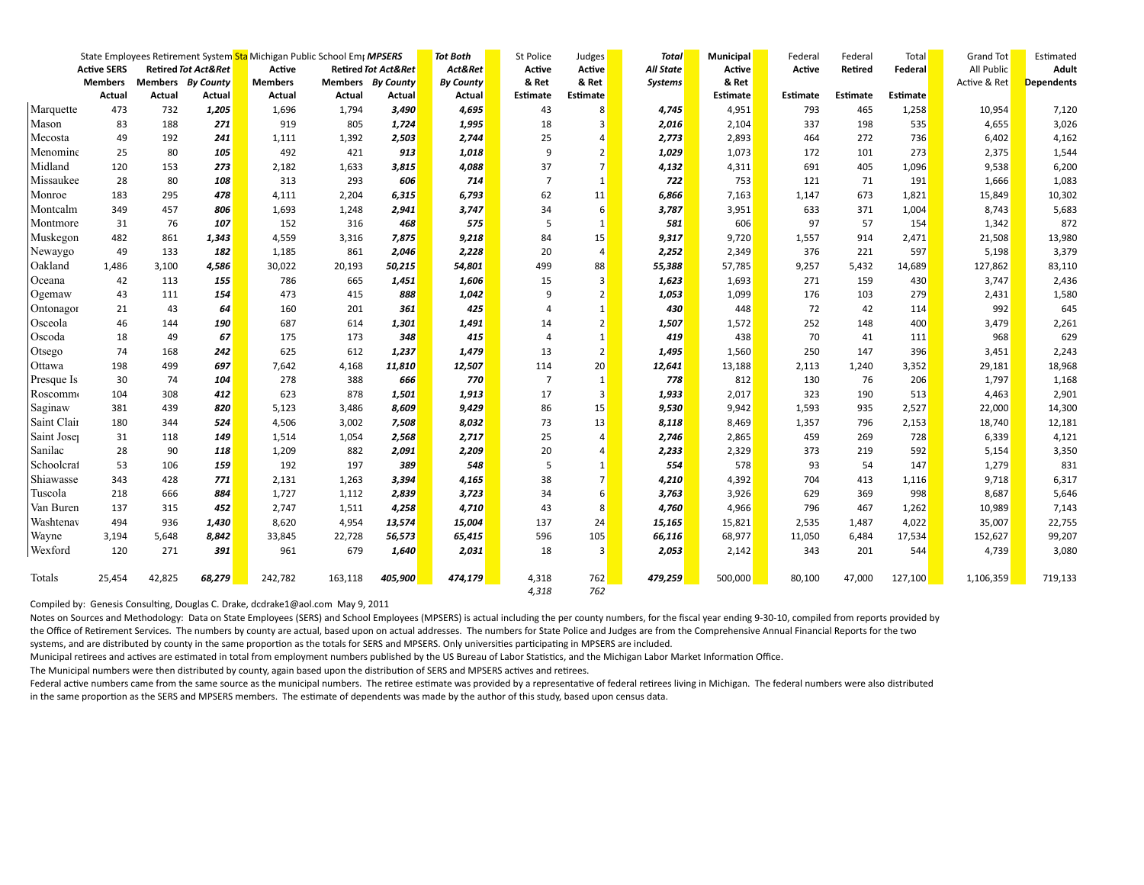|             |                    |        |                                | State Employees Retirement System Sta Michigan Public School Emr MPSERS |                   |                                | <b>Tot Both</b>  | St Police      | Judges          | <b>Total</b>     | <b>Municipal</b> | Federal  | Federal         | Total    | <b>Grand Tot</b> | Estimated         |
|-------------|--------------------|--------|--------------------------------|-------------------------------------------------------------------------|-------------------|--------------------------------|------------------|----------------|-----------------|------------------|------------------|----------|-----------------|----------|------------------|-------------------|
|             | <b>Active SERS</b> |        | <b>Retired Tot Act&amp;Ret</b> | Active                                                                  |                   | <b>Retired Tot Act&amp;Ret</b> | Act&Ret          | Active         | Active          | <b>All State</b> | Active           | Active   | Retired         | Federal  | All Public       | Adult             |
|             | <b>Members</b>     |        | Members By County              | <b>Members</b>                                                          | Members By County |                                | <b>By County</b> | & Ret          | & Ret           | <b>Systems</b>   | & Ret            |          |                 |          | Active & Ret     | <b>Dependents</b> |
|             | Actual             | Actual | Actual                         | Actual                                                                  | Actual            | Actual                         | Actual           | Estimate       | <b>Estimate</b> |                  | Estimate         | Estimate | <b>Estimate</b> | Estimate |                  |                   |
| Marquette   | 473                | 732    | 1,205                          | 1,696                                                                   | 1,794             | 3,490                          | 4,695            | 43             | 8               | 4,745            | 4,951            | 793      | 465             | 1,258    | 10,954           | 7,120             |
| Mason       | 83                 | 188    | 271                            | 919                                                                     | 805               | 1,724                          | 1,995            | 18             | 3               | 2,016            | 2,104            | 337      | 198             | 535      | 4,655            | 3,026             |
| Mecosta     | 49                 | 192    | 241                            | 1,111                                                                   | 1,392             | 2,503                          | 2,744            | 25             | $\overline{a}$  | 2,773            | 2,893            | 464      | 272             | 736      | 6,402            | 4,162             |
| Menomine    | 25                 | 80     | 105                            | 492                                                                     | 421               | 913                            | 1,018            | 9              | $\overline{2}$  | 1,029            | 1,073            | 172      | 101             | 273      | 2,375            | 1,544             |
| Midland     | 120                | 153    | 273                            | 2,182                                                                   | 1,633             | 3,815                          | 4,088            | 37             | $\overline{7}$  | 4,132            | 4,311            | 691      | 405             | 1,096    | 9,538            | 6,200             |
| Missaukee   | 28                 | 80     | 108                            | 313                                                                     | 293               | 606                            | 714              | $\overline{7}$ | 1               | 722              | 753              | 121      | 71              | 191      | 1,666            | 1,083             |
| Monroe      | 183                | 295    | 478                            | 4,111                                                                   | 2,204             | 6,315                          | 6,793            | 62             | 11              | 6,866            | 7,163            | 1,147    | 673             | 1,821    | 15,849           | 10,302            |
| Montcalm    | 349                | 457    | 806                            | 1,693                                                                   | 1,248             | 2,941                          | 3,747            | 34             | 6               | 3,787            | 3,951            | 633      | 371             | 1,004    | 8,743            | 5,683             |
| Montmore    | 31                 | 76     | 107                            | 152                                                                     | 316               | 468                            | 575              | 5              | 1               | 581              | 606              | 97       | 57              | 154      | 1,342            | 872               |
| Muskegon    | 482                | 861    | 1,343                          | 4,559                                                                   | 3,316             | 7,875                          | 9,218            | 84             | 15              | 9,317            | 9,720            | 1,557    | 914             | 2,471    | 21,508           | 13,980            |
| Newaygo     | 49                 | 133    | 182                            | 1,185                                                                   | 861               | 2,046                          | 2,228            | 20             | $\overline{a}$  | 2,252            | 2,349            | 376      | 221             | 597      | 5,198            | 3,379             |
| Oakland     | 1,486              | 3,100  | 4,586                          | 30,022                                                                  | 20,193            | 50,215                         | 54,801           | 499            | 88              | 55,388           | 57,785           | 9,257    | 5,432           | 14,689   | 127,862          | 83,110            |
| Oceana      | 42                 | 113    | 155                            | 786                                                                     | 665               | 1,451                          | 1,606            | 15             | 3               | 1,623            | 1,693            | 271      | 159             | 430      | 3,747            | 2,436             |
| Ogemaw      | 43                 | 111    | 154                            | 473                                                                     | 415               | 888                            | 1,042            | 9              | $\overline{2}$  | 1,053            | 1,099            | 176      | 103             | 279      | 2,431            | 1,580             |
| Ontonagor   | 21                 | 43     | 64                             | 160                                                                     | 201               | 361                            | 425              | $\overline{a}$ | 1               | 430              | 448              | 72       | 42              | 114      | 992              | 645               |
| Osceola     | 46                 | 144    | 190                            | 687                                                                     | 614               | 1,301                          | 1,491            | 14             | $\overline{2}$  | 1,507            | 1,572            | 252      | 148             | 400      | 3,479            | 2,261             |
| Oscoda      | 18                 | 49     | 67                             | 175                                                                     | 173               | 348                            | 415              | $\overline{4}$ | $\mathbf{1}$    | 419              | 438              | 70       | 41              | 111      | 968              | 629               |
| Otsego      | 74                 | 168    | 242                            | 625                                                                     | 612               | 1,237                          | 1,479            | 13             | 2               | 1,495            | 1,560            | 250      | 147             | 396      | 3,451            | 2,243             |
| Ottawa      | 198                | 499    | 697                            | 7,642                                                                   | 4,168             | 11,810                         | 12,507           | 114            | 20              | 12,641           | 13,188           | 2,113    | 1,240           | 3,352    | 29,181           | 18,968            |
| Presque Is  | 30                 | 74     | 104                            | 278                                                                     | 388               | 666                            | 770              | $\overline{7}$ | 1               | 778              | 812              | 130      | -76             | 206      | 1,797            | 1,168             |
| Roscomm     | 104                | 308    | 412                            | 623                                                                     | 878               | 1,501                          | 1,913            | 17             | 3               | 1,933            | 2,017            | 323      | 190             | 513      | 4,463            | 2,901             |
| Saginaw     | 381                | 439    | 820                            | 5,123                                                                   | 3,486             | 8,609                          | 9,429            | 86             | 15              | 9,530            | 9,942            | 1,593    | 935             | 2,527    | 22,000           | 14,300            |
| Saint Clair | 180                | 344    | 524                            | 4,506                                                                   | 3,002             | 7,508                          | 8,032            | 73             | 13              | 8,118            | 8,469            | 1,357    | 796             | 2,153    | 18,740           | 12,181            |
| Saint Jose  | 31                 | 118    | 149                            | 1,514                                                                   | 1,054             | 2,568                          | 2,717            | 25             | $\overline{a}$  | 2,746            | 2,865            | 459      | 269             | 728      | 6,339            | 4,121             |
| Sanilac     | 28                 | 90     | 118                            | 1,209                                                                   | 882               | 2,091                          | 2,209            | 20             | 4               | 2,233            | 2,329            | 373      | 219             | 592      | 5,154            | 3,350             |
| Schoolcrat  | 53                 | 106    | 159                            | 192                                                                     | 197               | 389                            | 548              | 5              | $\mathbf{1}$    | 554              | 578              | 93       | 54              | 147      | 1,279            | 831               |
| Shiawasse   | 343                | 428    | 771                            | 2,131                                                                   | 1,263             | 3,394                          | 4,165            | 38             | 7               | 4,210            | 4,392            | 704      | 413             | 1,116    | 9,718            | 6,317             |
| Tuscola     | 218                | 666    | 884                            | 1,727                                                                   | 1,112             | 2,839                          | 3,723            | 34             | 6               | 3,763            | 3,926            | 629      | 369             | 998      | 8,687            | 5,646             |
| Van Buren   | 137                | 315    | 452                            | 2,747                                                                   | 1,511             | 4,258                          | 4,710            | 43             | 8               | 4,760            | 4,966            | 796      | 467             | 1,262    | 10,989           | 7,143             |
| Washtenay   | 494                | 936    | 1,430                          | 8,620                                                                   | 4,954             | 13,574                         | 15,004           | 137            | 24              | 15,165           | 15,821           | 2,535    | 1,487           | 4,022    | 35,007           | 22,755            |
| Wayne       | 3,194              | 5,648  | 8,842                          | 33,845                                                                  | 22,728            | 56,573                         | 65,415           | 596            | 105             | 66,116           | 68,977           | 11,050   | 6,484           | 17,534   | 152,627          | 99,207            |
| Wexford     | 120                | 271    | 391                            | 961                                                                     | 679               | 1,640                          | 2,031            | 18             | 3               | 2,053            | 2,142            | 343      | 201             | 544      | 4,739            | 3,080             |
| Totals      | 25,454             | 42,825 | 68,279                         | 242,782                                                                 | 163,118           | 405,900                        | 474,179          | 4,318          | 762             | 479,259          | 500,000          | 80,100   | 47,000          | 127,100  | 1,106,359        | 719,133           |
|             |                    |        |                                |                                                                         |                   |                                |                  | 4,318          | 762             |                  |                  |          |                 |          |                  |                   |

Compiled by: Genesis Consulting, Douglas C. Drake, dcdrake1@aol.com May 9, 2011

Notes on Sources and Methodology: Data on State Employees (SERS) and School Employees (MPSERS) is actual including the per county numbers, for the fiscal year ending 9-30-10, compiled from reports provided by the Office of Retirement Services. The numbers by county are actual, based upon on actual addresses. The numbers for State Police and Judges are from the Comprehensive Annual Financial Reports for the two systems, and are distributed by county in the same proportion as the totals for SERS and MPSERS. Only universities participating in MPSERS are included.

Municipal retirees and actives are estimated in total from employment numbers published by the US Bureau of Labor Statistics, and the Michigan Labor Market Information Office.

The Municipal numbers were then distributed by county, again based upon the distribution of SERS and MPSERS actives and retirees.

Federal active numbers came from the same source as the municipal numbers. The retiree estimate was provided by a representative of federal retirees living in Michigan. The federal numbers were also distributed in the same proportion as the SERS and MPSERS members. The estimate of dependents was made by the author of this study, based upon census data.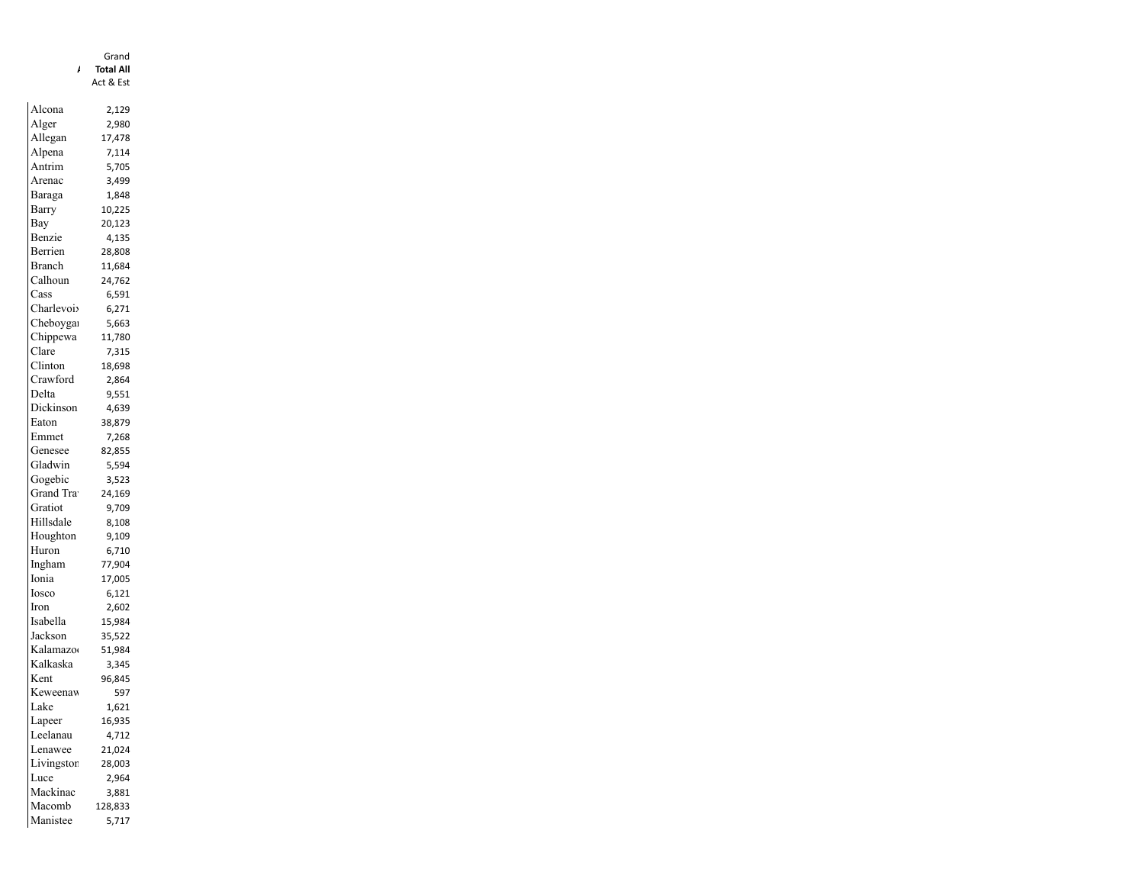|                   | Grand     |
|-------------------|-----------|
| ı                 | Total All |
|                   | Act & Est |
|                   |           |
| Alcona            | 2,129     |
| Alger             | 2,980     |
| Allegan           | 17,478    |
| Alpena            | 7,114     |
| Antrim            | 5,705     |
| Arenac            | 3,499     |
| Baraga            | 1,848     |
| Barry             | 10,225    |
| Bay               | 20,123    |
| Benzie            | 4,135     |
| Berrien           | 28,808    |
| Branch            | 11,684    |
| Calhoun           | 24,762    |
| Cass              | 6,591     |
| Charlevoi         |           |
| Cheboyga          | 6,271     |
|                   | 5,663     |
| Chippewa<br>Clare | 11,780    |
| Clinton           | 7,315     |
|                   | 18,698    |
| Crawford          | 2,864     |
| Delta             | 9,551     |
| Dickinson         | 4,639     |
| Eaton             | 38,879    |
| Emmet             | 7,268     |
| Genesee           | 82,855    |
| Gladwin           | 5,594     |
| Gogebic           | 3,523     |
| Grand Tra         | 24,169    |
| Gratiot           | 9,709     |
| Hillsdale         | 8,108     |
| Houghton          | 9,109     |
| Huron             | 6,710     |
| Ingham            | 77,904    |
| Ionia             | 17,005    |
| Iosco             | 6,121     |
| Iron              | 2,602     |
| Isabella          | 15,984    |
| Jackson           | 35,522    |
| Kalamazo          | 51,984    |
| Kalkaska          | 3,345     |
| Kent              | 96,845    |
| Keweenav          | 597       |
| Lake              |           |
|                   | 1,621     |
| Lapeer            | 16,935    |
| Leelanau          | 4,712     |
| Lenawee           | 21,024    |
| Livingstor        | 28,003    |
| Luce              | 2,964     |
| Mackinac          | 3,881     |
| Macomb            | 128,833   |
| Manistee          | 5,717     |